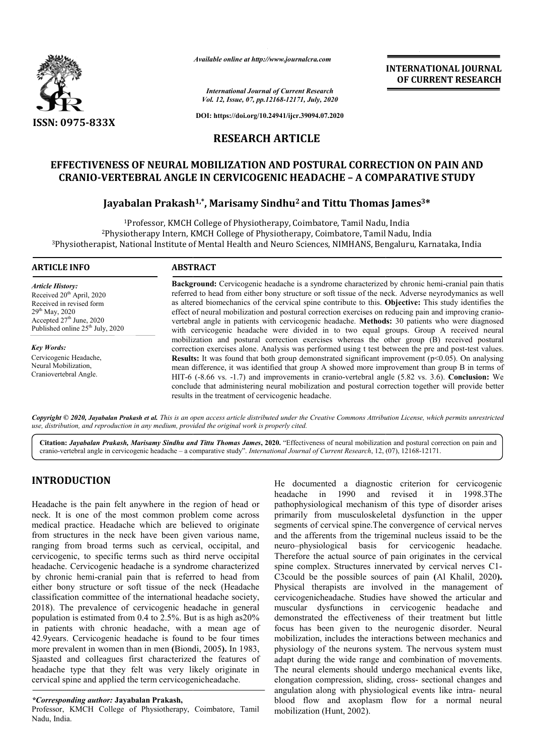

*Available online at http://www.journalcra.com*

*International Journal of Current Research Vol. 12, Issue, 07, pp.12168-12171, July, 2020*

**DOI: https://doi.org/10.24941/ijcr.39094.07.2020**

## **RESEARCH ARTICLE**

# EFFECTIVENESS OF NEURAL MOBILIZATION AND POSTURAL CORRECTION ON PAIN AND CRANIO-VERTEBRAL ANGLE IN CERVICOGENIC HEADACHE – A COMPARATIVE STUDY<br>Jayabalan Prakash<sup>1,\*</sup>, Marisamy Sindhu<sup>2</sup> and Tittu Thomas James<sup>3\*</sup> **CRANIO-VERTEBRAL ANGLE IN CERVICOGENIC HEADACHE VERTEBRAL – A COMPARATIVE STUDY**

## **Jayabalan Prakash Prakash1,\*, Marisamy Sindhu2 and Tittu Thomas James**

<sup>1</sup>Professor, KMCH College of Physiotherapy, Coimbatore, Tamil Nadu, India <sup>2</sup>Physiotherapy Intern, KMCH College of Physiotherapy, Coimbatore, Tamil Nadu, India  $^3$ Physiotherapist, National Institute of Mental Health and Neuro Sciences, NIMHANS, Bengaluru, Karnataka, India KMCH College of Physiotherapy, Coimbatore, Tamil<br>1tern, KMCH College of Physiotherapy, Coimbatore,<br>:itute of Mental Health and Neuro Sciences, NIMHAN

| <b>ARTICLE INFO</b>                                                                                                                                                                     | <b>ABSTRACT</b>                                                                                                                                                                                                                                                                                                                                                                                                                                                                                                                                                                                                                                                                            |  |  |
|-----------------------------------------------------------------------------------------------------------------------------------------------------------------------------------------|--------------------------------------------------------------------------------------------------------------------------------------------------------------------------------------------------------------------------------------------------------------------------------------------------------------------------------------------------------------------------------------------------------------------------------------------------------------------------------------------------------------------------------------------------------------------------------------------------------------------------------------------------------------------------------------------|--|--|
| Article History:<br>Received 20 <sup>th</sup> April, 2020<br>Received in revised form<br>$29th$ May, 2020<br>Accepted $27th$ June, 2020<br>Published online 25 <sup>th</sup> July, 2020 | Background: Cervicogenic headache is a syndrome characterized by chronic hemi-cranial pain thatis<br>referred to head from either bony structure or soft tissue of the neck. Adverse neyrodymanics as well<br>as altered biomechanics of the cervical spine contribute to this. Objective: This study identifies the<br>effect of neural mobilization and postural correction exercises on reducing pain and improving cranio-<br>vertebral angle in patients with cervicogenic headache. Methods: 30 patients who were diagnosed<br>with cervicogenic headache were divided in to two equal groups. Group A received neural                                                               |  |  |
| Key Words:<br>Cervicogenic Headache,<br>Neural Mobilization.<br>Craniovertebral Angle.                                                                                                  | mobilization and postural correction exercises whereas the other group (B) received postural<br>correction exercises alone. Analysis was performed using t test between the pre and post-test values.<br><b>Results:</b> It was found that both group demonstrated significant improvement $(p<0.05)$ . On analysing<br>mean difference, it was identified that group A showed more improvement than group B in terms of<br>HIT-6 (-8.66 vs. -1.7) and improvements in cranio-vertebral angle (5.82 vs. 3.6). Conclusion: We<br>conclude that administering neural mobilization and postural correction together will provide better<br>results in the treatment of cervicogenic headache. |  |  |

Copyright © 2020, Jayabalan Prakash et al. This is an open access article distributed under the Creative Commons Attribution License, which permits unrestrictea *use, distribution, and reproduction in any medium, provided the original work is properly cited.*

Citation: Jayabalan Prakash, Marisamy Sindhu and Tittu Thomas James, 2020. "Effectiveness of neural mobilization and postural correction on pain and cranio-vertebral angle in cervicogenic headache - a comparative study". *International Journal of Current Research*, 12, (07), 12168-12171.

# **INTRODUCTION**

Headache is the pain felt anywhere in the region of head or neck. It is one of the most common problem come across medical practice. Headache which are believed to originate from structures in the neck have been given various name, ranging from broad terms such as cervical, occipital, and cervicogenic, to specific terms such as third nerve occipital headache. Cervicogenic headache is a syndrome characterized by chronic hemi-cranial pain that is referred to head from either bony structure or soft tissue of the neck (Headache classification committee of the international headache society, 2018). The prevalence of cervicogenic headache in general population is estimated from 0.4 to 2.5%. But is as high as20% in patients with chronic headache, with a mean age of 42.9 years. Cervicogenic headache is found to be four times more prevalent in women than in men **(**Biondi, 2005 **).** In 1983, Sjaasted and colleagues first characterized the features of headache type that they felt was very likely originate in cervical spine and applied the term cervicogenicheadache.

### *\*Corresponding author:* **Jayabalan Prakash,**

Professor, KMCH College of Physiotherapy, Coimbatore, Tamil Nadu, India.

He documented a diagnostic criterion for cervicogenic headache in 1990 and revised it in 1998.3The pathophysiological mechanism of this type of disorder arises primarily from musculoskeletal dysfunction in the upper segments of cervical spine.The convergence of cervical nerves and the afferents from the trigeminal nucleus issaid to be the neuro–physiological basis for cervicogenic headache. Therefore the actual source of pain originates in the cervical spine complex. Structures innervated by cervical nerves C1-C3could be the possible sources o of pain **(**Al Khalil, 2020**).** Physical therapists are involved in the management of cervicogenicheadache. Studies have showed the articular and muscular dysfunctions in cervicogenic headache and demonstrated the effectiveness of their treatment but little demonstrated the effectiveness of their treatment but little focus has been given to the neurogenic disorder. Neural mobilization, includes the interactions between mechanics and physiology of the neurons system. The nervous system must adapt during the wide range and combination of movements. The neural elements should undergo mechanical events like, The neural elements should undergo mechanical events like, elongation compression, sliding, cross- sectional changes and angulation along with physiological events like intra- neural blood flow and axoplasm flow for a normal neural mobilization (Hunt, 2002). pathophysiological mechanism of this type of disorder arises<br>primarily from musculoskeletal dysfunction in the upper<br>segments of cervical spine. The convergence of cervical nerves<br>and the afferents from the trigeminal nucl mobilization, includes the interactions between mechanics and physiology of the neurons system. The nervous system must adapt during the wide range and combination of movements. INTERNATIONAL COURNEMENT INTERNATION CONTROL CONTROL CONTROL CONTROL CONTROL CONTROL CONTROL CONTROL (66-1271, Jan. 2020)<br>
20 COURNENT RESEARCH (66-1271, Jan. 2020)<br>
20 PALISIC-3799-647.2020<br>
ARTICLE RND POSTURAL CORRECTIO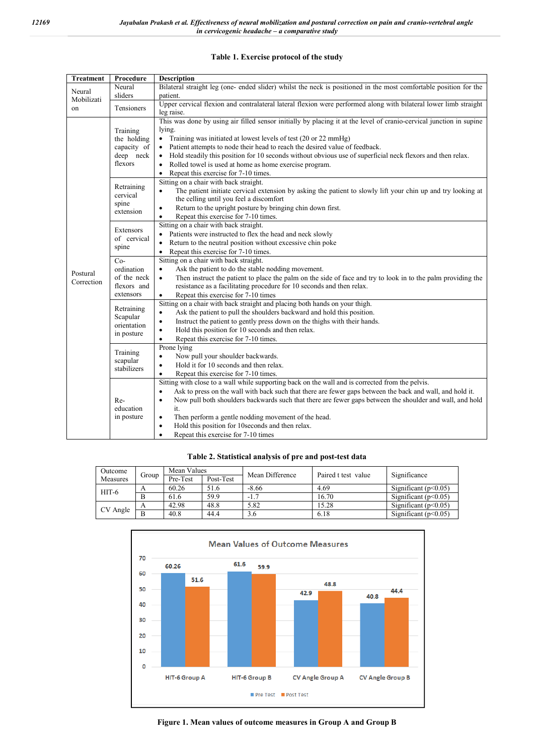## **Table 1. Exercise protocol of the study**

| <b>Treatment</b>           | Procedure                                                      | <b>Description</b>                                                                                                        |  |  |  |  |
|----------------------------|----------------------------------------------------------------|---------------------------------------------------------------------------------------------------------------------------|--|--|--|--|
| Neural<br>Mobilizati<br>on | Neural                                                         | Bilateral straight leg (one- ended slider) whilst the neck is positioned in the most comfortable position for the         |  |  |  |  |
|                            | sliders                                                        | patient.                                                                                                                  |  |  |  |  |
|                            | Tensioners                                                     | Upper cervical flexion and contralateral lateral flexion were performed along with bilateral lower limb straight          |  |  |  |  |
|                            |                                                                | leg raise.                                                                                                                |  |  |  |  |
|                            |                                                                | This was done by using air filled sensor initially by placing it at the level of cranio-cervical junction in supine       |  |  |  |  |
|                            | Training                                                       | lying.                                                                                                                    |  |  |  |  |
|                            | the holding                                                    | Training was initiated at lowest levels of test (20 or 22 mmHg)<br>٠                                                      |  |  |  |  |
|                            | capacity of                                                    | Patient attempts to node their head to reach the desired value of feedback.<br>$\bullet$                                  |  |  |  |  |
|                            | deep neck                                                      | Hold steadily this position for 10 seconds without obvious use of superficial neck flexors and then relax.<br>$\bullet$   |  |  |  |  |
|                            | flexors                                                        | Rolled towel is used at home as home exercise program.<br>$\bullet$                                                       |  |  |  |  |
|                            |                                                                | Repeat this exercise for 7-10 times.<br>$\bullet$                                                                         |  |  |  |  |
|                            |                                                                | Sitting on a chair with back straight.                                                                                    |  |  |  |  |
|                            | Retraining<br>cervical<br>spine<br>extension                   | The patient initiate cervical extension by asking the patient to slowly lift your chin up and try looking at<br>$\bullet$ |  |  |  |  |
|                            |                                                                | the celling until you feel a discomfort                                                                                   |  |  |  |  |
|                            |                                                                | Return to the upright posture by bringing chin down first.<br>$\bullet$                                                   |  |  |  |  |
|                            |                                                                | Repeat this exercise for 7-10 times.<br>$\bullet$                                                                         |  |  |  |  |
|                            | Extensors                                                      | Sitting on a chair with back straight.                                                                                    |  |  |  |  |
|                            | of cervical<br>spine                                           | Patients were instructed to flex the head and neck slowly<br>$\bullet$                                                    |  |  |  |  |
|                            |                                                                | Return to the neutral position without excessive chin poke<br>$\bullet$                                                   |  |  |  |  |
|                            |                                                                | Repeat this exercise for 7-10 times.<br>$\bullet$                                                                         |  |  |  |  |
|                            | $Co-$<br>ordination<br>of the neck<br>flexors and<br>extensors | Sitting on a chair with back straight.                                                                                    |  |  |  |  |
| Postural                   |                                                                | Ask the patient to do the stable nodding movement.<br>$\bullet$                                                           |  |  |  |  |
| Correction                 |                                                                | Then instruct the patient to place the palm on the side of face and try to look in to the palm providing the<br>$\bullet$ |  |  |  |  |
|                            |                                                                | resistance as a facilitating procedure for 10 seconds and then relax.                                                     |  |  |  |  |
|                            |                                                                | Repeat this exercise for 7-10 times<br>$\bullet$                                                                          |  |  |  |  |
|                            | Retraining                                                     | Sitting on a chair with back straight and placing both hands on your thigh.                                               |  |  |  |  |
|                            | Scapular<br>orientation<br>in posture                          | Ask the patient to pull the shoulders backward and hold this position.<br>$\bullet$                                       |  |  |  |  |
|                            |                                                                | Instruct the patient to gently press down on the thighs with their hands.<br>$\bullet$                                    |  |  |  |  |
|                            |                                                                | Hold this position for 10 seconds and then relax.<br>$\bullet$                                                            |  |  |  |  |
|                            |                                                                | Repeat this exercise for 7-10 times.<br>$\bullet$                                                                         |  |  |  |  |
|                            | Training<br>scapular<br>stabilizers                            | Prone lying                                                                                                               |  |  |  |  |
|                            |                                                                | Now pull your shoulder backwards.<br>$\bullet$                                                                            |  |  |  |  |
|                            |                                                                | Hold it for 10 seconds and then relax.<br>$\bullet$                                                                       |  |  |  |  |
|                            |                                                                | Repeat this exercise for 7-10 times.<br>$\bullet$                                                                         |  |  |  |  |
|                            | Re-<br>education<br>in posture                                 | Sitting with close to a wall while supporting back on the wall and is corrected from the pelvis.                          |  |  |  |  |
|                            |                                                                | Ask to press on the wall with back such that there are fewer gaps between the back and wall, and hold it.<br>$\bullet$    |  |  |  |  |
|                            |                                                                | Now pull both shoulders backwards such that there are fewer gaps between the shoulder and wall, and hold<br>$\bullet$     |  |  |  |  |
|                            |                                                                | it.                                                                                                                       |  |  |  |  |
|                            |                                                                | Then perform a gentle nodding movement of the head.<br>$\bullet$                                                          |  |  |  |  |
|                            |                                                                | Hold this position for 10 seconds and then relax.<br>$\bullet$                                                            |  |  |  |  |
|                            |                                                                | Repeat this exercise for 7-10 times<br>$\bullet$                                                                          |  |  |  |  |

### **Table 2. Statistical analysis of pre and post-test data**

| Outcome  | Group | Mean Values |           | Mean Difference | Paired t test value |                        |
|----------|-------|-------------|-----------|-----------------|---------------------|------------------------|
| Measures |       | Pre-Test    | Post-Test |                 |                     | Significance           |
| $HIT-6$  | A     | 60.26       | 51.6      | $-8.66$         | 4.69                | Significant $(p<0.05)$ |
|          | B     | 61.6        | 59.9      | $-1.7$          | 16.70               | Significant $(p<0.05)$ |
| CV Angle | A     | 42.98       | 48.8      | 5.82            | 15.28               | Significant $(p<0.05)$ |
|          | B     | 40.8        | 44.4      | 3.6             | 6.18                | Significant $(p<0.05)$ |



**Figure 1. Mean values of outcome measures in Group A and Group B**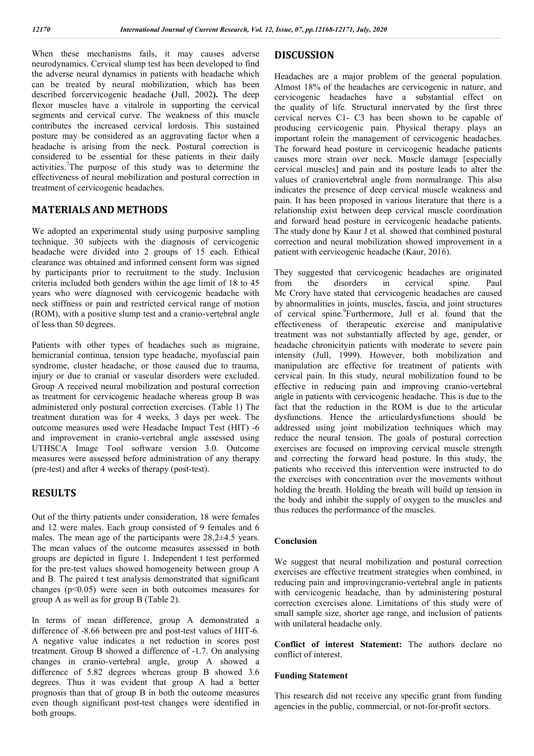When these mechanisms fails, it may causes adverse neurodynamics. Cervical slump test has been developed to find the adverse neural dynamics in patients with headache which can be treated by neural mobilization, which has been described forcervicogenic headache **(**Jull, 2002**).** The deep flexor muscles have a vitalrole in supporting the cervical segments and cervical curve. The weakness of this muscle contributes the increased cervical lordosis. This sustained posture may be considered as an aggravating factor when a headache is arising from the neck. Postural correction is considered to be essential for these patients in their daily activities.<sup>7</sup>The purpose of this study was to determine the effectiveness of neural mobilization and postural correction in treatment of cervicogenic headaches.

## **MATERIALS AND METHODS**

We adopted an experimental study using purposive sampling technique. 30 subjects with the diagnosis of cervicogenic headache were divided into 2 groups of 15 each. Ethical clearance was obtained and informed consent form was signed by participants prior to recruitment to the study. Inclusion criteria included both genders within the age limit of 18 to 45 years who were diagnosed with cervicogenic headache with neck stiffness or pain and restricted cervical range of motion (ROM), with a positive slump test and a cranio-vertebral angle of less than 50 degrees.

Patients with other types of headaches such as migraine, hemicranial continua, tension type headache, myofascial pain syndrome, cluster headache, or those caused due to trauma, injury or due to cranial or vascular disorders were excluded. Group A received neural mobilization and postural correction as treatment for cervicogenic headache whereas group B was administered only postural correction exercises. (Table 1) The treatment duration was for 4 weeks, 3 days per week. The outcome measures used were Headache Impact Test (HIT) -6 and improvement in cranio-vertebral angle assessed using UTHSCA Image Tool software version 3.0. Outcome measures were assessed before administration of any therapy (pre-test) and after 4 weeks of therapy (post-test).

## **RESULTS**

Out of the thirty patients under consideration, 18 were females and 12 were males. Each group consisted of 9 females and 6 males. The mean age of the participants were 28.2±4.5 years. The mean values of the outcome measures assessed in both groups are depicted in figure 1. Independent t test performed for the pre-test values showed homogeneity between group A and B. The paired t test analysis demonstrated that significant changes  $(p<0.05)$  were seen in both outcomes measures for group A as well as for group B (Table 2).

In terms of mean difference, group A demonstrated a difference of -8.66 between pre and post-test values of HIT-6. A negative value indicates a net reduction in scores post treatment. Group B showed a difference of -1.7. On analysing changes in cranio-vertebral angle, group A showed a difference of 5.82 degrees whereas group B showed 3.6 degrees. Thus it was evident that group A had a better prognosis than that of group B in both the outcome measures even though significant post-test changes were identified in both groups.

## **DISCUSSION**

Headaches are a major problem of the general population. Almost 18% of the headaches are cervicogenic in nature, and cervicogenic headaches have a substantial effect on the quality of life. Structural innervated by the first three cervical nerves C1- C3 has been shown to be capable of producing cervicogenic pain. Physical therapy plays an important rolein the management of cervicogenic headaches. The forward head posture in cervicogenic headache patients causes more strain over neck. Muscle damage [especially cervical muscles] and pain and its posture leads to alter the values of craniovertebral angle from normalrange. This also indicates the presence of deep cervical muscle weakness and pain. It has been proposed in various literature that there is a relationship exist between deep cervical muscle coordination and forward head posture in cervicogenic headache patients. The study done by Kaur J et al. showed that combined postural correction and neural mobilization showed improvement in a patient with cervicogenic headache (Kaur, 2016).

They suggested that cervicogenic headaches are originated from the disorders in cervical spine. Paul Mc Crory have stated that cervicogenic headaches are caused by abnormalities in joints, muscles, fascia, and joint structures of cervical spine.<sup>9</sup>Furthermore, Jull et al. found that the effectiveness of therapeutic exercise and manipulative treatment was not substantially affected by age, gender, or headache chronicityin patients with moderate to severe pain intensity (Jull, 1999). However, both mobilization and manipulation are effective for treatment of patients with cervical pain. In this study, neural mobilization found to be effective in reducing pain and improving cranio-vertebral angle in patients with cervicogenic headache. This is due to the fact that the reduction in the ROM is due to the articular dysfunctions. Hence the articulardysfunctions should be addressed using joint mobilization techniques which may reduce the neural tension. The goals of postural correction exercises are focused on improving cervical muscle strength and correcting the forward head posture. In this study, the patients who received this intervention were instructed to do the exercises with concentration over the movements without holding the breath. Holding the breath will build up tension in the body and inhibit the supply of oxygen to the muscles and thus reduces the performance of the muscles.

#### **Conclusion**

We suggest that neural mobilization and postural correction exercises are effective treatment strategies when combined, in reducing pain and improvingcranio-vertebral angle in patients with cervicogenic headache, than by administering postural correction exercises alone. Limitations of this study were of small sample size, shorter age range, and inclusion of patients with unilateral headache only.

**Conflict of interest Statement:** The authors declare no conflict of interest.

#### **Funding Statement**

This research did not receive any specific grant from funding agencies in the public, commercial, or not-for-profit sectors.